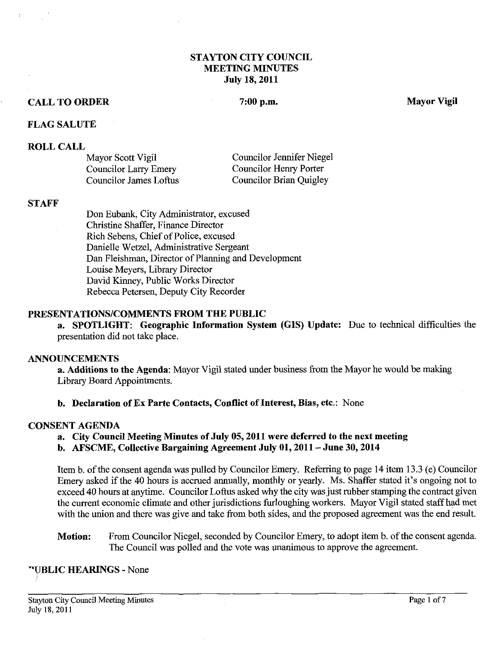# **STAYTON CITY COUNCIL MEETING MINUTES July 18,2011**

#### **CALL TO ORDER**

#### 7:00 p.m.

**Mayor Vigil** 

### **FLAG SALUTE**

#### **ROLL CALL**

| Mayor Scott Vigil            | Councilor Jennifer Niegel |
|------------------------------|---------------------------|
| <b>Councilor Larry Emery</b> | Councilor Henry Porter    |
| Councilor James Loftus       | Councilor Brian Quigley   |

#### **STAFF**

Don Eubank, City Administrator, excused Christine Shaffer, Finance Director Rich Sebens, Chief of Police, excused Danielle Wetzel, Administrative Sergeant Dan Fleishman, Director of Planning and Development Louise Meyers, Library Director David Kinney, Public Works Director Rebecca Petersen, Deputy City Recorder

### **PRF,SENTATIONS/COMMENTS FROM THE PUBLIC**

**a. SPOTLIGHT: Geographic Information System (GIs) Update:** Due to technical difficulties the presentation did not take place.

#### **ANNOUNCEMENTS**

**a. Additions to the Agenda:** Mayor Vigil stated under business from the Mayor he would be making Library Board Appointments.

# **b. Declaration of Ex Parte Contacts, Conflict of Interest, Bias, etc.:** None

#### **CONSENT AGENDA**

- **a. City Council Meeting Minutes of July 05,2011 were deferred to the next meeting**
- **b. AFSCME, Collective Bargaining Agreement July 01,2011 -June 30,2014**

Item b. of the consent agenda was pulled by Councilor Emery. Referring to page 14 item 13.3 (e) Councilor Emery asked if the 40 hours is accrued annually, monthly or yearly. Ms. Shaffer stated it's ongoing not to exceed 40 hours at anytime. Councilor Loftus asked why the city was just rubber stamping the contract given the current economic climate and other jurisdictions furloughing workers. Mayor Vigil stated staff had met with the union and there was give and take from both sides, and the proposed agreement was the end result.

**Motion:** From Councilor Niegel, seconded by Councilor Emery, to adopt item b. of the consent agenda. The Council was polled and the vote was unanimous to approve the agreement.

# **VBLIC HEARINGS** - None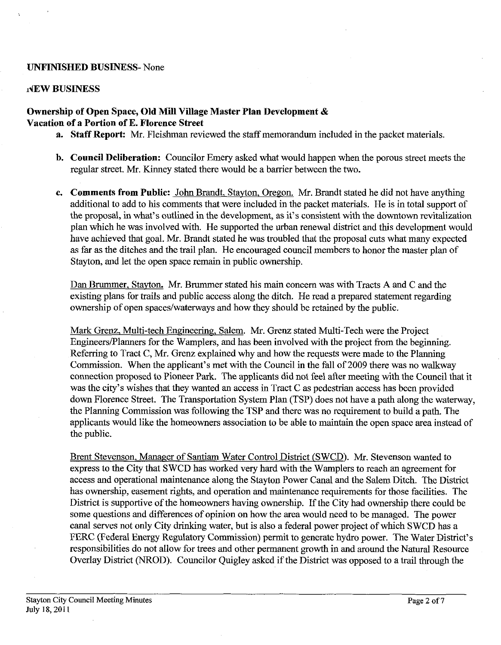### **UNFINISHED BUSINESS-** None

#### **dEW BUSINESS**

# **Ownership of Open Space, Old Mill Village Master Plan Development** & **Vacation of a Portion of E. Florence Street**

- **a. Staff Report:** Mr. Fleishman reviewed the staff memorandum included in the packet materials.
- **b. Council Deliberation:** Councilor Emery asked what would happen when the porous street meets the regular street. Mr. Kinney stated there would be a barrier between the two.
- **c.** Comments from Public: John Brandt, Stayton, Oregon. Mr. Brandt stated he did not have anything additional to add to his comments that were included in the packet materials. He is in total support of the proposal, in what's outlined in the development, as it's consistent with the downtown revitalization plan which he was involved with. He supported the urban renewal district and this development would have achieved that goal. Mr. Brandt stated he was troubled that the proposal cuts what many expected as far as the ditches and the trail plan. He encouraged council members to honor the master plan of Stayton, and let the open space remain in public ownership.

Dan Brummer, Stayton. Mr. Brummer stated his main concern was with Tracts A and C and the existing plans for trails and public access along the ditch. He read a prepared statement regarding ownership of open spaces/waterways and how they should be retained by the public.

Mark Grenz, Multi-tech Engineering, Salem. Mr. Grenz stated Multi-Tech were the Project Engineers/Planners for the Wamplers, and has been involved with the project from the beginning. Referring to Tract C, Mr. Grenz explained why and how the requests were made to the Planning Commission. When the applicant's met with the Council in the fall of 2009 there was no walkway connection proposed to Pioneer Park. The applicants did not feel after meeting with the Council that it was the city's wishes that they wanted an access in Tract C as pedestrian access has been provided down Florence Street. The Transportation System Plan (TSP) does not have a path along the waterway, the Planning Commission was following the TSP and there was no requirement to build a path. The applicants would like the homeowners association to be able to maintain the open space area instead of the public.

Brent Stevenson, Manager of Santiam Water Control District (SWCD). Mr. Stevenson wanted to express to the City that SWCD has worked very hard with the Wamplers to reach an agreement for access and operational maintenance along the Stayton Power Canal and the Salem Ditch. The District has ownership, easement rights, and operation and maintenance requirements for those facilities. The District is supportive of the homeowners having ownership. If the City had ownership there could be some questions and differences of opinion on how the area would need to be managed. The power canal serves not only City drinking water, but is also a federal power project of which SWCD has a FERC (Federal Energy Regulatory Commission) permit to generate hydro power. The Water District's responsibilities do not allow for trees and other permanent growth in and around the Natural Resource Overlay District (NROD). Councilor Quigley asked if the District was opposed to a trail through the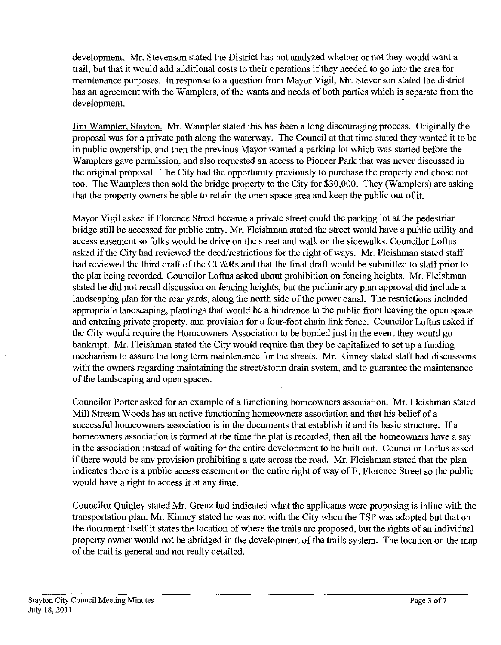development. Mr. Stevenson stated the District has not analyzed whether or not they would want a trail, but that it would add additional costs to their operations if they needed to go into the area for maintenance purposes. In response to a question fiom Mayor Vigil, Mr. Stevenson stated the district has an agreement with the Wamplers, of the wants and needs of both parties which is separate fiom the development.

Jim Wampler, Stavton. Mr. Wampler stated this has been a long discouraging process. Originally the proposal was for a private path along the waterway. The Council at that time stated they wanted it to be in public ownership, and then the previous Mayor wanted a parking lot which was started before the Wamplers gave permission, and also requested an access to Pioneer Park that was never discussed in the original proposal. The City had the opportunity previously to purchase the property and chose not too. The Wamplers then sold the bridge property to the City for **\$30,000.** They (Wamplers) are asking that the property owners be able to retain the open space area and keep the public out of it.

Mayor Vigil asked if Florence Street became a private street could the parking lot at the pedestrian bridge still be accessed for public entry. Mr. Fleishman stated the street would have a public utility and access easement so folks would be drive on the street and walk on the sidewalks. Councilor Loftus asked if the City had reviewed the deed/restrictions for the right of ways. Mr. Fleishman stated staff had reviewed the third draft of the CC&Rs and that the final draft would be submitted to staff prior to the plat being recorded. Councilor Loftus asked about prohibition on fencing heights. Mr. Fleishman stated he did not recall discussion on fencing heights, but the preliminary plan approval did include a landscaping plan for the rear yards, along the north side of the power canal. The restrictions included appropriate landscaping, plantings that would be a hindrance to the public from leaving the open space and entering private property, and provision for a four-foot chain link fence. Councilor Loftus asked if the City would require the Homeowners Association to be bonded just in the event they would go bankrupt. Mr. Fleishman stated the City would require that they be capitalized to set up a funding mechanism to assure the long term maintenance for the streets. Mr. Kinney stated staff had discussions with the owners regarding maintaining the street/storm drain system, and to guarantee the maintenance of the landscaping and open spaces.

Councilor Porter asked for an example of a functioning homeowners association. Mr. Fleishman stated Mill Stream Woods has an active functioning homeowners association and that his belief of a successful homeowners association is in the documents that establish it and its basic structure. If a homeowners association is formed at the time the plat is recorded, then all the homeowners have a say in the association instead of waiting for the entire development to be built out. Councilor Loftus asked if there would be any provision prohibiting a gate across the road. Mr. Fleishman stated that the plan indicates there is a public access easement on the entire right of way of E. Florence Street so the public would have a right to access it at any time.

Councilor Quigley stated Mr. Grenz had indicated what the applicants were proposing is inline with the transportation plan. Mr. Kinney stated he was not with the City when the TSP was adopted but that on the document itself it states the location of where the trails are proposed, but the rights of an individual property owner would not be abridged in the development of the trails system. The location on the map of the trail is general and not really detailed.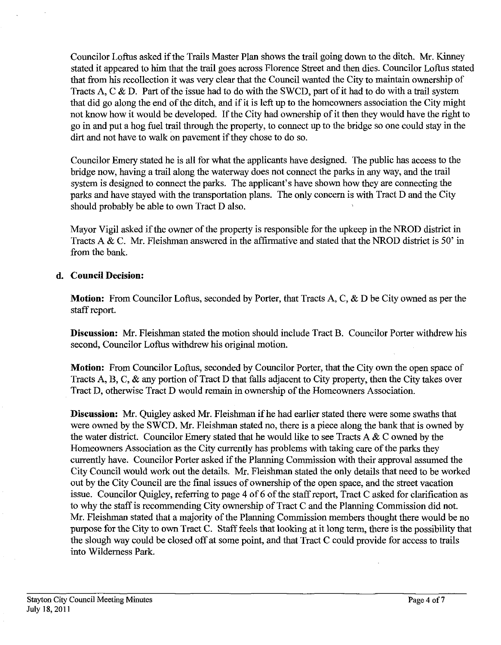Councilor Loftus asked if the Trails Master Plan shows the trail going down to the ditch. Mr. Kinney stated it appeared to him that the trail goes across Florence Street and then dies. Councilor Loftus stated that from his recollection it was very clear that the Council wanted the City to maintain ownership of Tracts A, C  $\&$  D. Part of the issue had to do with the SWCD, part of it had to do with a trail system that did go along the end of the ditch, and if it is left up to the homeowners association the City might not know how it would be developed. If the City had ownership of it then they would have the right to go in and put a hog fuel trail through the property, to connect up to the bridge so one could stay in the dirt and not have to walk on pavement if they chose to do so.

Councilor Emery stated he is all for what the applicants have designed. The public has access to the bridge now, having a trail along the waterway does not connect the parks in any way, and the trail system is designed to connect the parks. The applicant's have shown how they are connecting the parks and have stayed with the transportation plans. The only concern is with Tract D and the City should probably be able to own Tract D also.

Mayor Vigil asked if the owner of the property is responsible for the upkeep in the **NROD** district in Tracts A & C. Mr. Fleishman answered in the affirmative and stated that the NROD district is 50' in from the bank.

# **d. Council Decision:**

**Motion:** From Councilor Loftus, seconded by Porter, that Tracts A, C, & D be City owned as per the staff report.

**Discussion:** Mr. Fleishman stated the motion should include Tract B. Councilor Porter withdrew his second, Councilor Loftus withdrew his original motion.

**Motion:** From Councilor Loftus, seconded by Councilor Porter, that the City own the open space of Tracts A, B, C, & any portion of Tract D that falls adjacent to City property, then the City takes over Tract D, otherwise Tract D would remain in ownership of the Homeowners Association.

**Discussion: Mr.** Quigley asked Mr. Fleishman if he had earlier stated there were some swaths that were owned by the SWCD. Mr. Fleishman stated no, there is a piece along the bank that is owned by the water district. Councilor Emery stated that he would like to see Tracts A  $\&$  C owned by the Homeowners Association as the City currently has problems with taking care of the parks they currently have. Councilor Porter asked if the Planning Commission with their approval assumed the City Council would work out the details. Mr. Fleishman stated the only details that need to be worked out by the City Council are the final issues of ownership of the open space, and the street vacation issue. Councilor Quigley, referring to page 4 of *6* of the staff report, Tract C asked for clarification as to why the staff is recommending City ownership of Tract C and the Planning Commission did not. Mr. Fleishman stated that a majority of the Planning Commission members thought there would be no purpose for the City to own Tract C. Staff feels that looking at it long term, there is the possibility that the slough way could be closed off at some point, and that Tract C could provide for access to trails into Wilderness Park.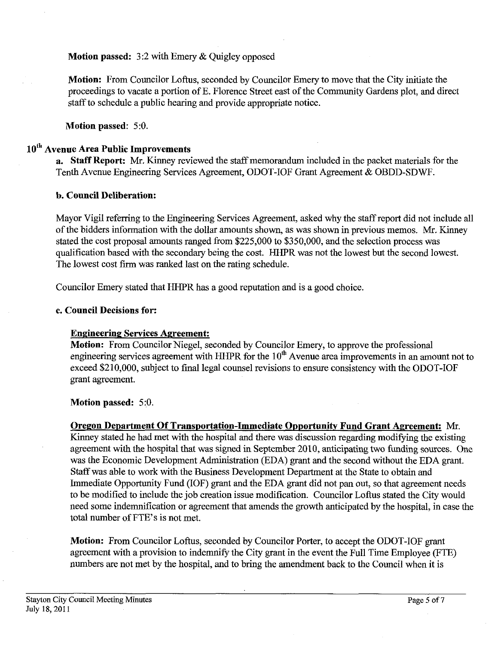**Motion passed:** 3:2 with Emery & Quigley opposed

**Motion:** From Councilor Loftus, seconded by Councilor Emery to move that the City initiate the proceedings to vacate a portion of E. Florence Street east of the Community Gardens plot, and direct staff to schedule a public hearing and provide appropriate notice.

**Motion passed:** 5:O.

# **10" Avenue Area Public Improvements**

**a. Staff Report:** Mr. Kinney reviewed the staff memorandum included in the packet materials for the Tenth Avenue Engineering Services Agreement, ODOT-IOF Grant Agreement & OBDD-SDWF.

# **b. Council Deliberation:**

Mayor Vigil referring to the Engineering Services Agreement, asked why the staff report did not include all of the bidders information with the dollar amounts shown, as was shown in previous memos. Mr. Kinney stated the cost proposal amounts ranged from \$225,000 to \$350,000, and the selection process was qualification based with the secondary being the cost. HHPR was not the lowest but the second lowest. The lowest cost firm was ranked last on the rating schedule.

Councilor Emery stated that HHPR has a good reputation and is a good choice.

# **c. Council Decisions for:**

# **Engineering Services Agreement:**

**Motion:** From Councilor Niegel, seconded by Councilor Emery, to approve the professional engineering services agreement with HHPR for the  $10<sup>th</sup>$  Avenue area improvements in an amount not to exceed \$210,000, subject to final legal counsel revisions to ensure consistency with the ODOT-IOF grant agreement.

**Motion passed:** 5:O.

**Oregon Department Of Transportation-Immediate Opportunity Fund Grant Agreement:** Mr. Kinney stated he had met with the hospital and there was discussion regarding modifying the existing agreement with the hospital that was signed in September 2010, anticipating two fund'mg sources. One was the Economic Development Administration (EDA) grant and the second without the EDA grant. Staff was able to work with the Business Development Department at the State to obtain and Immediate Opportunity Fund (IOF) grant and the EDA grant did not pan out, so that agreement needs to be modified to include the job creation issue modification. Councilor Loftus stated the City would need some indemnification or agreement that amends the growth anticipated by the hospital, in case the total number of FTE's is not met.

**Motion:** From Councilor Loftus, seconded by Councilor Porter, to accept the ODOT-IOF grant agreement with a provision to indemnify the City grant in the event the Full Time Employee (FTE) numbers are not met by the hospital, and to bring the amendment back to the Council when it is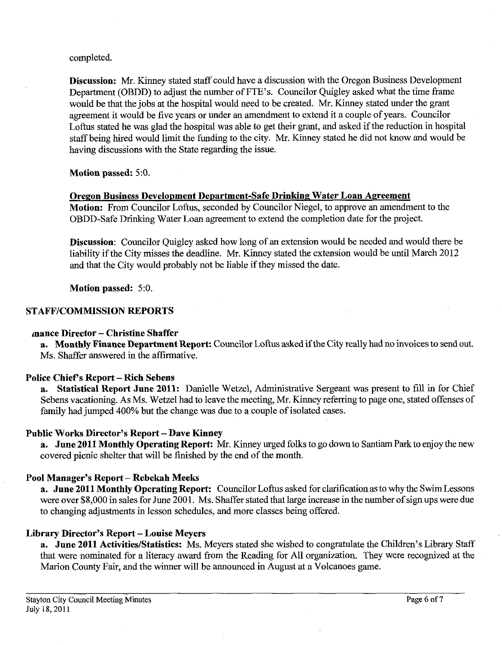completed.

**Discussion:** Mr. Kinney stated staff could have a discussion with the Oregon Business Development Department (OBDD) to adjust the number of FTE's. Councilor Quigley asked what the time frame would be that the jobs at the hospital would need to be created. Mr. Kinney stated under the grant agreement it would be five years or under an amendment to extend it a couple of years. Councilor Loftus stated he was glad the hospital was able to get their grant, and asked if the reduction in hospital staff being hired would limit the funding to the city. Mr. Kinney stated he did not know and would be having discussions with the State regarding the issue.

**Motion passed:** 5:O.

# **Oregon Business Development Department-Safe Drinking Water Loan Agreement**

**Motion:** From Councilor Loftus, seconded by Councilor Niegel, to approve an amendment to the OBDD-Safe Drinking Water Loan agreement to extend the completion date for the project.

**Discussion:** Councilor Quigley asked how long of an extension would be needed and would there be liability if the City misses the deadline. Mr. Kinney stated the extension would be until March 2012 and that the City would probably not be liable if they missed the date.

**Motion passed:** 5:O.

# **STAFPICOMMISSION REPORTS**

# **mance Director** - **Christine Shaffer**

**a. Monthly Finance Department Report:** Councilor Loftus asked if the City really had no invoices to send out. Ms. Shaffer answered in the affirmative.

# **Police Chief's Report** - **Rich Sebens**

**a. Statistical Report June 2011:** Danielle Wetzel, Administrative Sergeant was present to fill in for Chief Sebens vacationing. As Ms. Wetzel had to leave the meeting, Mr. Kinney referring to page one, stated offenses of family had jumped 400% but the change was due to a couple of isolated cases.

# Public Works Director's Report - Dave Kinney

**a. June 2011 Monthly Operating Report: Mr.** Kinney urged folks to go down to Santiam Park to enjoy the new covered picnic shelter that will be finished by the end of the month.

# **Pool Manager's Report** - **Rebekah Meeks**

**a. June 2011 Monthly Operating Report:** Councilor Loftus asked for clarification as to why the Swim Lessons were over \$8,000 in sales for June 2001. Ms. Shaffer stated that large increase in the number of sign ups were due to changing adjustments in lesson schedules, and more classes being offered.

# **Library Director's Report** - **Louise Meyers**

**a. June 2011 ActivitieslStatistics:** Ms. Meyers stated she wished to congratulate the Children's Library Staff that were nominated for a literacy award from the Reading for All organization. They were recognized at the Marion County Fair, and the winner will be announced in August at a Volcanoes game.